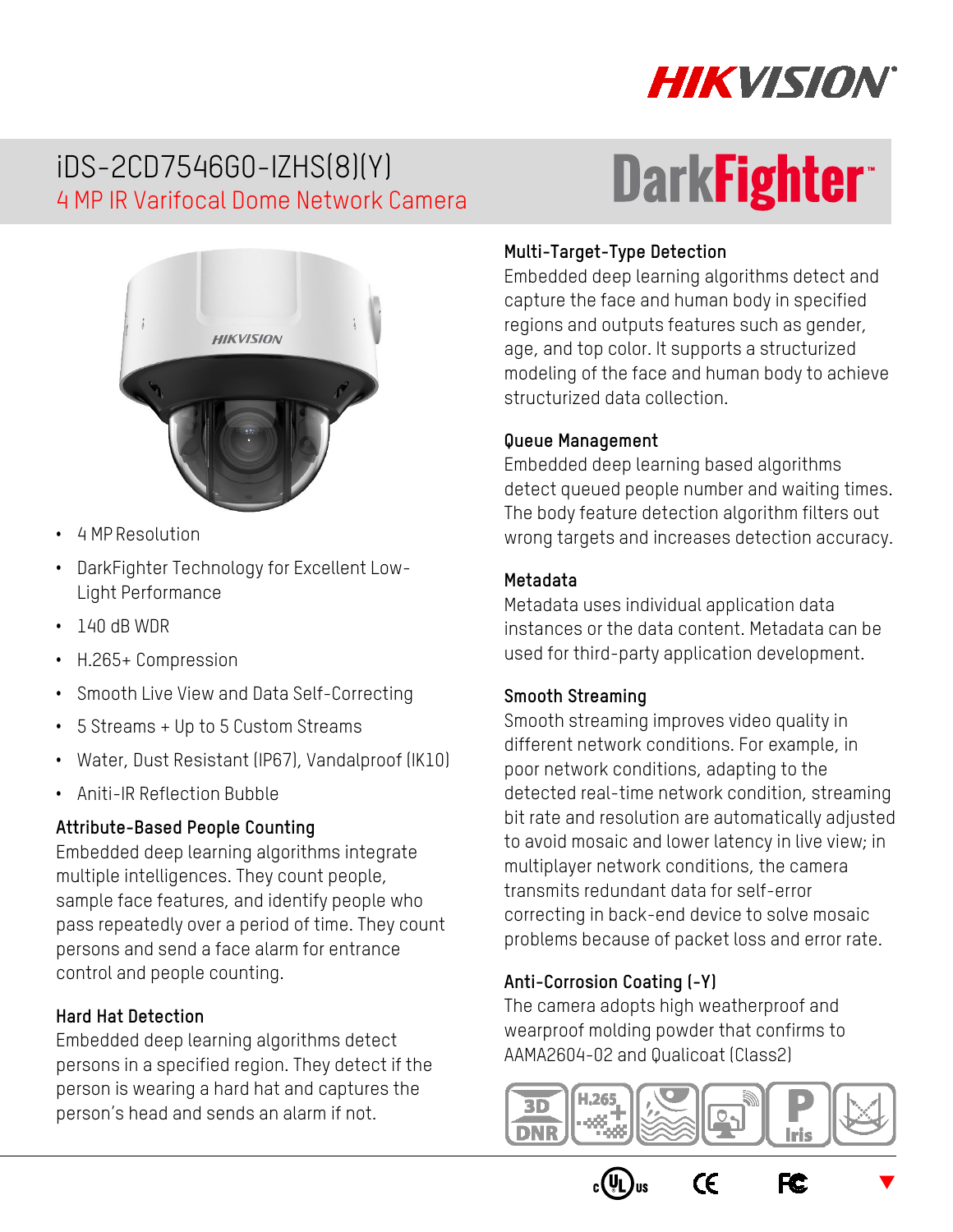

**DarkFightert** 

# iDS-2CD7546G0-IZHS(8)(Y) 4 MP IR Varifocal Dome Network Camera



- 4 MP Resolution
- DarkFighter Technology for Excellent Low-Light Performance
- 140 dB WDR
- H.265+ Compression
- Smooth Live View and Data Self-Correcting
- 5 Streams + Up to 5 Custom Streams
- Water, Dust Resistant (IP67), Vandalproof (IK10)
- Aniti-IR Reflection Bubble

### **Attribute-Based People Counting**

Embedded deep learning algorithms integrate multiple intelligences. They count people, sample face features, and identify people who pass repeatedly over a period of time. They count persons and send a face alarm for entrance control and people counting.

### **Hard Hat Detection**

Embedded deep learning algorithms detect persons in a specified region. They detect if the person is wearing a hard hat and captures the person's head and sends an alarm if not.

# **Multi-Target-Type Detection**

Embedded deep learning algorithms detect and capture the face and human body in specified regions and outputs features such as gender, age, and top color. It supports a structurized modeling of the face and human body to achieve structurized data collection.

#### **Queue Management**

Embedded deep learning based algorithms detect queued people number and waiting times. The body feature detection algorithm filters out wrong targets and increases detection accuracy.

#### **Metadata**

Metadata uses individual application data instances or the data content. Metadata can be used for third-party application development.

#### **Smooth Streaming**

Smooth streaming improves video quality in different network conditions. For example, in poor network conditions, adapting to the detected real-time network condition, streaming bit rate and resolution are automatically adjusted to avoid mosaic and lower latency in live view; in multiplayer network conditions, the camera transmits redundant data for self-error correcting in back-end device to solve mosaic problems because of packet loss and error rate.

### **Anti-Corrosion Coating (-Y)**

The camera adopts high weatherproof and wearproof molding powder that confirms to AAMA2604-02 and Qualicoat (Class2)



 $C\epsilon$ 

F<sub>C</sub>

 $\blacktriangledown$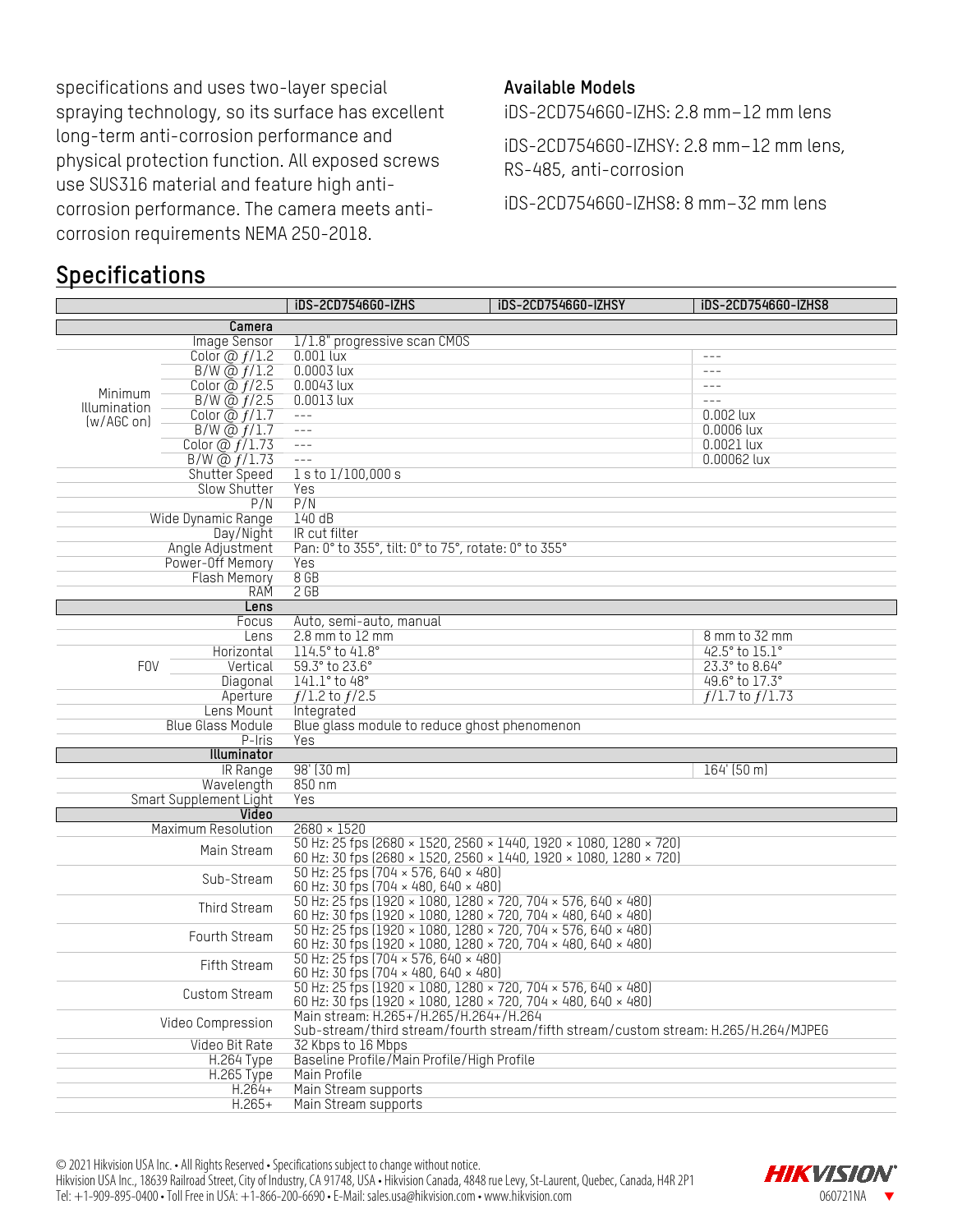specifications and uses two-layer special spraying technology, so its surface has excellent long-term anti-corrosion performance and physical protection function. All exposed screws use SUS316 material and feature high anticorrosion performance. The camera meets anticorrosion requirements NEMA 250-2018.

### **Specifications**

#### **Available Models**

iDS-2CD7546G0-IZHS: 2.8 mm–12 mm lens

iDS-2CD7546G0-IZHSY: 2.8 mm–12 mm lens, RS-485, anti-corrosion

iDS-2CD7546G0-IZHS8: 8 mm–32 mm lens

|                                                                                                          |                                  | iDS-2CD7546G0-IZHS<br><b>iDS-2CD7546G0-IZHSY</b>                                                        | iDS-2CD7546G0-IZHS8 |  |  |  |
|----------------------------------------------------------------------------------------------------------|----------------------------------|---------------------------------------------------------------------------------------------------------|---------------------|--|--|--|
|                                                                                                          | Camera                           |                                                                                                         |                     |  |  |  |
|                                                                                                          | Image Sensor                     | 1/1.8" progressive scan CMOS                                                                            |                     |  |  |  |
|                                                                                                          | Color $\omega f/1.2$             | $0.001$ lux                                                                                             | $---$               |  |  |  |
|                                                                                                          | $B/W$ @ $f/1.2$                  | $0.0003$ lux                                                                                            | $- - -$             |  |  |  |
|                                                                                                          | Color $\overline{a}$ $f/2.5$     | $0.0043$ lux                                                                                            | $---$               |  |  |  |
| Minimum                                                                                                  | $B/W$ @ $f/2.5$                  | $0.0013$ lux                                                                                            | $\frac{1}{2}$       |  |  |  |
| Illumination                                                                                             | Color $\overline{a}$ $f/1.7$     | $---$                                                                                                   | $0.002$ lux         |  |  |  |
| [w/AGC on]                                                                                               | $B/W$ @ $f/1.7$                  | $---$                                                                                                   | $0.0006$ lux        |  |  |  |
|                                                                                                          | Color $\overline{\omega f/1.73}$ | $- - -$                                                                                                 | $0.0021$ lux        |  |  |  |
|                                                                                                          | B/W @ f/1.73                     | $---$                                                                                                   | 0.00062 lux         |  |  |  |
|                                                                                                          | Shutter Speed                    | 1 s to 1/100,000 s                                                                                      |                     |  |  |  |
|                                                                                                          | <b>Slow Shutter</b>              | Yes                                                                                                     |                     |  |  |  |
|                                                                                                          | P/N                              | P/N                                                                                                     |                     |  |  |  |
|                                                                                                          | Wide Dynamic Range               | 140dB                                                                                                   |                     |  |  |  |
|                                                                                                          | Day/Night                        | IR cut filter                                                                                           |                     |  |  |  |
|                                                                                                          | Angle Adjustment                 | Pan: 0° to 355°, tilt: 0° to 75°, rotate: 0° to 355°                                                    |                     |  |  |  |
|                                                                                                          | Power-Off Memory                 | Yes                                                                                                     |                     |  |  |  |
|                                                                                                          | <b>Flash Memory</b>              | 8 <sub>GB</sub>                                                                                         |                     |  |  |  |
|                                                                                                          | RAM                              | 2 <sub>GB</sub>                                                                                         |                     |  |  |  |
|                                                                                                          | Lens                             |                                                                                                         |                     |  |  |  |
|                                                                                                          | Focus                            | Auto, semi-auto, manual                                                                                 |                     |  |  |  |
|                                                                                                          | Lens                             | $2.8$ mm to $12$ mm                                                                                     | 8 mm to 32 mm       |  |  |  |
|                                                                                                          | Horizontal                       | 114.5° to 41.8°                                                                                         | 42.5° to 15.1°      |  |  |  |
| <b>FOV</b>                                                                                               | Vertical                         | 59.3° to 23.6°                                                                                          | 23.3° to 8.64°      |  |  |  |
|                                                                                                          | Diagonal                         | 141.1° to 48°                                                                                           | 49.6° to 17.3°      |  |  |  |
|                                                                                                          | Aperture                         | $f/1.2$ to $f/2.5$                                                                                      | $f/1.7$ to $f/1.73$ |  |  |  |
|                                                                                                          | Lens Mount                       | Integrated                                                                                              |                     |  |  |  |
|                                                                                                          | <b>Blue Glass Module</b>         | Blue glass module to reduce ghost phenomenon                                                            |                     |  |  |  |
|                                                                                                          | P-Iris                           | Yes                                                                                                     |                     |  |  |  |
|                                                                                                          | Illuminator                      |                                                                                                         |                     |  |  |  |
|                                                                                                          | IR Range                         | $98'$ (30 m)                                                                                            | $164'$ (50 m)       |  |  |  |
|                                                                                                          | Wavelength                       | 850 nm                                                                                                  |                     |  |  |  |
|                                                                                                          | Smart Supplement Light           | Yes                                                                                                     |                     |  |  |  |
|                                                                                                          | Video                            |                                                                                                         |                     |  |  |  |
|                                                                                                          | Maximum Resolution               | $2680 \times 1520$                                                                                      |                     |  |  |  |
|                                                                                                          | Main Stream                      | 50 Hz: 25 fps (2680 × 1520, 2560 × 1440, 1920 × 1080, 1280 × 720)                                       |                     |  |  |  |
|                                                                                                          |                                  | 60 Hz: 30 fps (2680 × 1520, 2560 × 1440, 1920 × 1080, 1280 × 720)                                       |                     |  |  |  |
|                                                                                                          | Sub-Stream                       | 50 Hz: 25 fps (704 × 576, 640 × 480)                                                                    |                     |  |  |  |
|                                                                                                          |                                  | 60 Hz: 30 fps (704 × 480, 640 × 480)                                                                    |                     |  |  |  |
|                                                                                                          | Third Stream                     | 50 Hz: 25 fps (1920 × 1080, 1280 × 720, 704 × 576, 640 × 480)                                           |                     |  |  |  |
|                                                                                                          |                                  | 60 Hz: 30 fps (1920 × 1080, 1280 × 720, 704 × 480, 640 × 480)                                           |                     |  |  |  |
|                                                                                                          | Fourth Stream                    | 50 Hz: 25 fps (1920 × 1080, 1280 × 720, 704 × 576, 640 × 480)                                           |                     |  |  |  |
|                                                                                                          |                                  | 60 Hz: 30 fps (1920 × 1080, 1280 × 720, 704 × 480, 640 × 480)                                           |                     |  |  |  |
|                                                                                                          | Fifth Stream                     | 50 Hz: 25 fps (704 × 576, 640 × 480)                                                                    |                     |  |  |  |
|                                                                                                          |                                  | 60 Hz: 30 fps $(704 \times 480, 640 \times 480)$                                                        |                     |  |  |  |
|                                                                                                          | Custom Stream                    | 50 Hz: 25 fps (1920 × 1080, 1280 × 720, 704 × 576, 640 × 480)                                           |                     |  |  |  |
|                                                                                                          |                                  | 60 Hz: 30 fps (1920 × 1080, 1280 × 720, 704 × 480, 640 × 480)<br>Main stream: H.265+/H.265/H.264+/H.264 |                     |  |  |  |
| Video Compression<br>Sub-stream/third stream/fourth stream/fifth stream/custom stream: H.265/H.264/MJPEG |                                  |                                                                                                         |                     |  |  |  |
| Video Bit Rate                                                                                           |                                  |                                                                                                         |                     |  |  |  |
|                                                                                                          | <b>H.264 Type</b>                | 32 Kbps to 16 Mbps<br>Baseline Profile/Main Profile/High Profile                                        |                     |  |  |  |
|                                                                                                          | H.265 Type                       |                                                                                                         |                     |  |  |  |
|                                                                                                          |                                  |                                                                                                         |                     |  |  |  |
|                                                                                                          | $H.264+$<br>$H.265+$             | Main Stream supports<br>Main Stream supports                                                            |                     |  |  |  |
|                                                                                                          |                                  |                                                                                                         |                     |  |  |  |

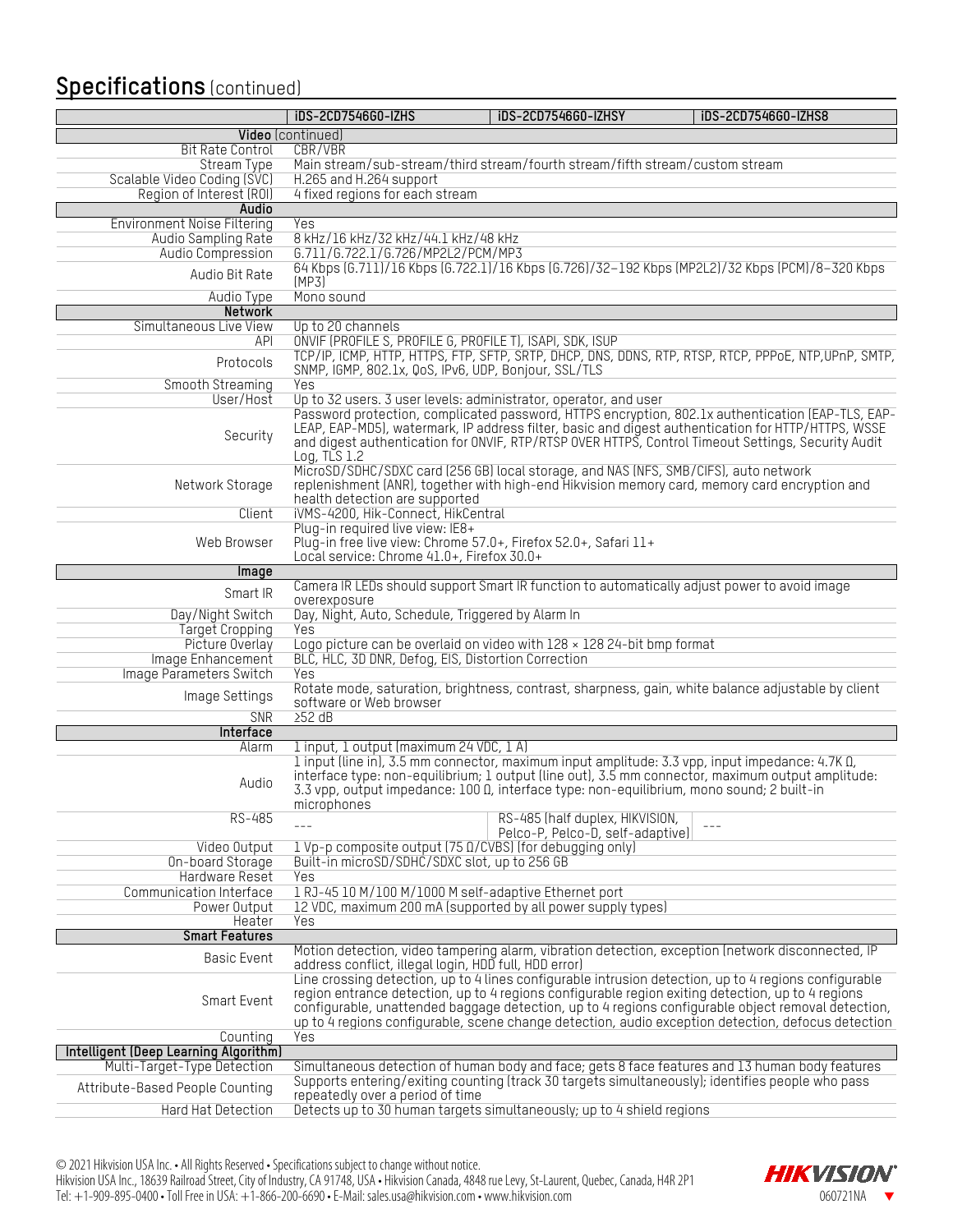### **Specifications** (continued)

|                                       | iDS-2CD7546G0-IZHS                                                                                            | iDS-2CD7546G0-IZHSY              | iDS-2CD7546G0-IZHS8                                                                                                                                                                                          |
|---------------------------------------|---------------------------------------------------------------------------------------------------------------|----------------------------------|--------------------------------------------------------------------------------------------------------------------------------------------------------------------------------------------------------------|
|                                       | <b>Video</b> (continued)                                                                                      |                                  |                                                                                                                                                                                                              |
| <b>Bit Rate Control</b>               | CBR/VBR                                                                                                       |                                  |                                                                                                                                                                                                              |
| <b>Stream Type</b>                    | Main stream/sub-stream/third stream/fourth stream/fifth stream/custom stream                                  |                                  |                                                                                                                                                                                                              |
| Scalable Video Coding (SVC)           | H.265 and H.264 support                                                                                       |                                  |                                                                                                                                                                                                              |
| Region of Interest (ROI)              | 4 fixed regions for each stream                                                                               |                                  |                                                                                                                                                                                                              |
| Audio                                 |                                                                                                               |                                  |                                                                                                                                                                                                              |
| <b>Environment Noise Filtering</b>    | Yes                                                                                                           |                                  |                                                                                                                                                                                                              |
| Audio Sampling Rate                   | 8 kHz/16 kHz/32 kHz/44.1 kHz/48 kHz                                                                           |                                  |                                                                                                                                                                                                              |
| Audio Compression                     | G.711/G.722.1/G.726/MP2L2/PCM/MP3                                                                             |                                  |                                                                                                                                                                                                              |
| Audio Bit Rate                        |                                                                                                               |                                  | 64 Kbps (6.711)/16 Kbps (6.722.1)/16 Kbps (6.726)/32-192 Kbps (MP2L2)/32 Kbps (PCM)/8-320 Kbps                                                                                                               |
|                                       | (MP3)                                                                                                         |                                  |                                                                                                                                                                                                              |
| Audio Type                            | Mono sound                                                                                                    |                                  |                                                                                                                                                                                                              |
| <b>Network</b>                        |                                                                                                               |                                  |                                                                                                                                                                                                              |
| Simultaneous Live View                | Up to 20 channels<br>ONVIF (PROFILE S, PROFILE G, PROFILE T), ISAPI, SDK, ISUP                                |                                  |                                                                                                                                                                                                              |
| API                                   |                                                                                                               |                                  | TCP/IP, ICMP, HTTP, HTTPS, FTP, SFTP, SRTP, DHCP, DNS, DDNS, RTP, RTSP, RTCP, PPPoE, NTP, UPnP, SMTP,                                                                                                        |
| Protocols                             | SNMP, IGMP, 802.1x, QoS, IPv6, UDP, Bonjour, SSL/TLS                                                          |                                  |                                                                                                                                                                                                              |
| Smooth Streaming                      | Yes                                                                                                           |                                  |                                                                                                                                                                                                              |
| User/Host                             | Up to 32 users. 3 user levels: administrator, operator, and user                                              |                                  |                                                                                                                                                                                                              |
|                                       |                                                                                                               |                                  | Password protection, complicated password, HTTPS encryption, 802.1x authentication (EAP-TLS, EAP-                                                                                                            |
|                                       |                                                                                                               |                                  | LEAP, EAP-MD5), watermark, IP address filter, basic and digest authentication for HTTP/HTTPS, WSSE                                                                                                           |
| Security                              |                                                                                                               |                                  | and digest authentication for ONVIF, RTP/RTSP OVER HTTPS, Control Timeout Settings, Security Audit                                                                                                           |
|                                       | Log, $TLS$ 1.2                                                                                                |                                  |                                                                                                                                                                                                              |
|                                       | MicroSD/SDHC/SDXC card (256 GB) local storage, and NAS (NFS, SMB/CIFS), auto network                          |                                  |                                                                                                                                                                                                              |
| Network Storage                       |                                                                                                               |                                  | replenishment (ANR), together with high-end Hikvision memory card, memory card encryption and                                                                                                                |
|                                       | health detection are supported                                                                                |                                  |                                                                                                                                                                                                              |
| Client                                | iVMS-4200, Hik-Connect, HikCentral                                                                            |                                  |                                                                                                                                                                                                              |
|                                       | Plug-in required live view: IE8+                                                                              |                                  |                                                                                                                                                                                                              |
| Web Browser                           | Plug-in free live view: Chrome 57.0+, Firefox 52.0+, Safari 11+<br>Local service: Chrome 41.0+, Firefox 30.0+ |                                  |                                                                                                                                                                                                              |
|                                       |                                                                                                               |                                  |                                                                                                                                                                                                              |
| Image                                 |                                                                                                               |                                  | Camera IR LEDs should support Smart IR function to automatically adjust power to avoid image                                                                                                                 |
| Smart IR                              | overexposure                                                                                                  |                                  |                                                                                                                                                                                                              |
| Day/Night Switch                      | Day, Night, Auto, Schedule, Triggered by Alarm In                                                             |                                  |                                                                                                                                                                                                              |
| <b>Target Cropping</b>                | Yes                                                                                                           |                                  |                                                                                                                                                                                                              |
| Picture Overlay                       | Logo picture can be overlaid on video with $128 \times 12824$ -bit bmp format                                 |                                  |                                                                                                                                                                                                              |
| Image Enhancement                     | BLC, HLC, 3D DNR, Defog, EIS, Distortion Correction                                                           |                                  |                                                                                                                                                                                                              |
| Image Parameters Switch               | Yes                                                                                                           |                                  |                                                                                                                                                                                                              |
| Image Settings                        |                                                                                                               |                                  | Rotate mode, saturation, brightness, contrast, sharpness, gain, white balance adjustable by client                                                                                                           |
|                                       | software or Web browser                                                                                       |                                  |                                                                                                                                                                                                              |
| <b>SNR</b>                            | 252 dB                                                                                                        |                                  |                                                                                                                                                                                                              |
| Interface                             |                                                                                                               |                                  |                                                                                                                                                                                                              |
| Alarm                                 | 1 input, 1 output (maximum 24 VDC, 1 A)                                                                       |                                  |                                                                                                                                                                                                              |
|                                       |                                                                                                               |                                  | 1 input (line in), 3.5 mm connector, maximum input amplitude: 3.3 vpp, input impedance: 4.7K $\Omega$ ,<br>interface type: non-equilibrium; 1 output (line out), 3.5 mm connector, maximum output amplitude: |
| Audio                                 | 3.3 vpp, output impedance: 100 Q, interface type: non-equilibrium, mono sound; 2 built-in                     |                                  |                                                                                                                                                                                                              |
|                                       | microphones                                                                                                   |                                  |                                                                                                                                                                                                              |
| RS-485                                |                                                                                                               | RS-485 (half duplex, HIKVISION,  |                                                                                                                                                                                                              |
|                                       | $---$                                                                                                         | Pelco-P, Pelco-D, self-adaptive) | $- - -$                                                                                                                                                                                                      |
| Video Output                          | 1 Vp-p composite output (75 0/CVBS) (for debugging only)                                                      |                                  |                                                                                                                                                                                                              |
| On-board Storage                      | Built-in microSD/SDHC/SDXC slot, up to 256 GB                                                                 |                                  |                                                                                                                                                                                                              |
| Hardware Reset                        | Yes                                                                                                           |                                  |                                                                                                                                                                                                              |
| Communication Interface               | 1 RJ-45 10 M/100 M/1000 M self-adaptive Ethernet port                                                         |                                  |                                                                                                                                                                                                              |
| Power Output                          | 12 VDC, maximum 200 mA (supported by all power supply types)                                                  |                                  |                                                                                                                                                                                                              |
| Heater                                | Yes                                                                                                           |                                  |                                                                                                                                                                                                              |
| <b>Smart Features</b>                 |                                                                                                               |                                  |                                                                                                                                                                                                              |
| <b>Basic Event</b>                    |                                                                                                               |                                  | Motion detection, video tampering alarm, vibration detection, exception (network disconnected, IP                                                                                                            |
|                                       | address conflict, illegal login, HDD full, HDD error)                                                         |                                  | Line crossing detection, up to 4 lines configurable intrusion detection, up to 4 regions configurable                                                                                                        |
|                                       |                                                                                                               |                                  | region entrance detection, up to 4 regions configurable region exiting detection, up to 4 regions                                                                                                            |
| Smart Event                           |                                                                                                               |                                  | configurable, unattended baggage detection, up to 4 regions configurable object removal detection,                                                                                                           |
|                                       |                                                                                                               |                                  | up to 4 regions configurable, scene change detection, audio exception detection, defocus detection                                                                                                           |
| Counting                              | Yes                                                                                                           |                                  |                                                                                                                                                                                                              |
| Intelligent (Deep Learning Algorithm) |                                                                                                               |                                  |                                                                                                                                                                                                              |
| Multi-Target-Type Detection           |                                                                                                               |                                  | Simultaneous detection of human body and face; gets 8 face features and 13 human body features                                                                                                               |
|                                       |                                                                                                               |                                  | Supports entering/exiting counting (track 30 targets simultaneously); identifies people who pass                                                                                                             |
| Attribute-Based People Counting       | repeatedly over a period of time                                                                              |                                  |                                                                                                                                                                                                              |
| Hard Hat Detection                    | Detects up to 30 human targets simultaneously; up to 4 shield regions                                         |                                  |                                                                                                                                                                                                              |
|                                       |                                                                                                               |                                  |                                                                                                                                                                                                              |

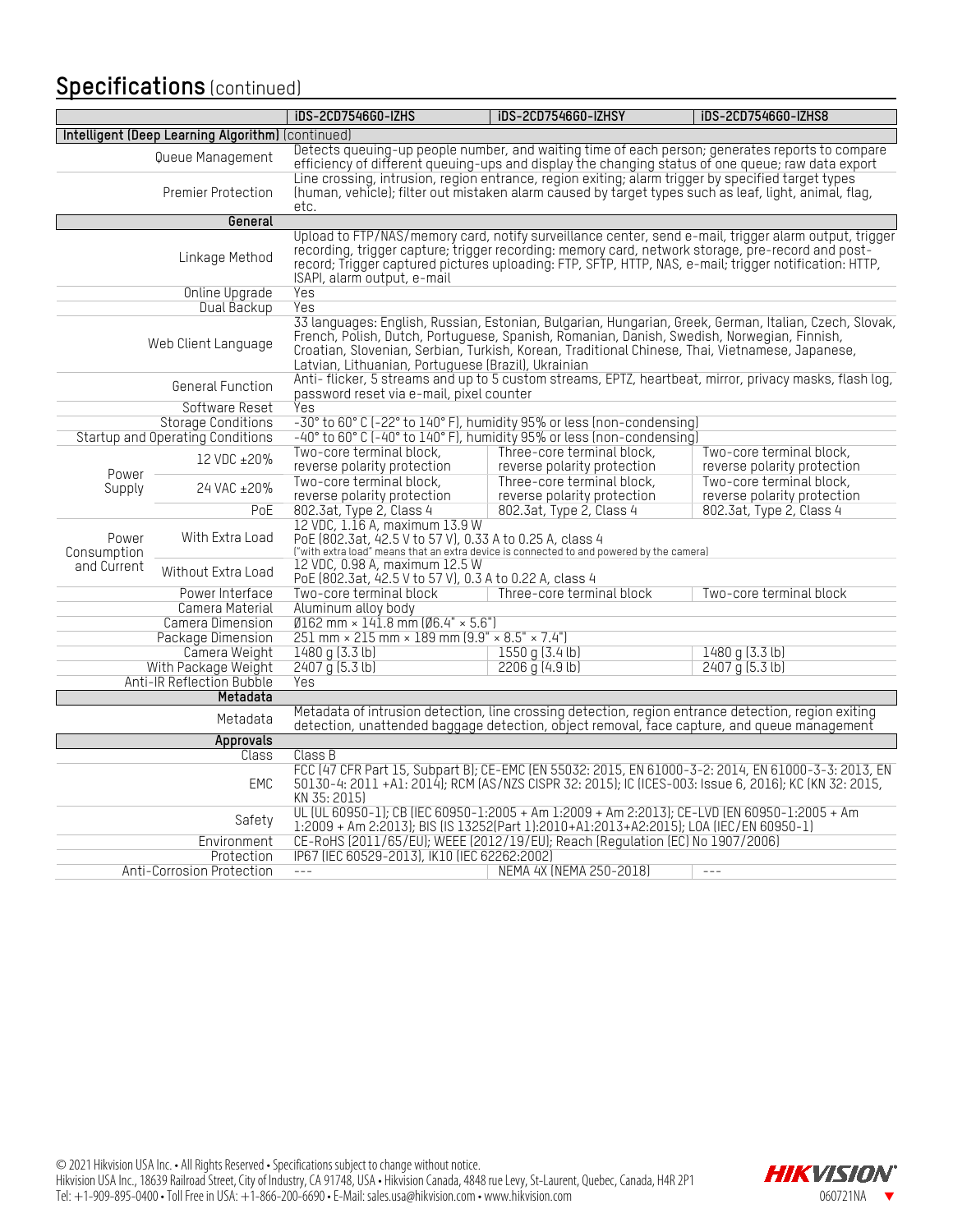### **Specifications** (continued)

|                                                                                                                                                                                                                                           |                                  | <b>iDS-2CD7546G0-IZHS</b>                                                                                                                                                                                                                                                                                                                                      | <b>iDS-2CD7546G0-IZHSY</b>                                                                                                                                                                                  | iDS-2CD7546G0-IZHS8                                     |  |  |
|-------------------------------------------------------------------------------------------------------------------------------------------------------------------------------------------------------------------------------------------|----------------------------------|----------------------------------------------------------------------------------------------------------------------------------------------------------------------------------------------------------------------------------------------------------------------------------------------------------------------------------------------------------------|-------------------------------------------------------------------------------------------------------------------------------------------------------------------------------------------------------------|---------------------------------------------------------|--|--|
| Intelligent (Deep Learning Algorithm) (continued)                                                                                                                                                                                         |                                  |                                                                                                                                                                                                                                                                                                                                                                |                                                                                                                                                                                                             |                                                         |  |  |
|                                                                                                                                                                                                                                           | Queue Management                 | Detects queuing-up people number, and waiting time of each person; generates reports to compare<br>efficiency of different queuing-ups and display the changing status of one queue; raw data export                                                                                                                                                           |                                                                                                                                                                                                             |                                                         |  |  |
|                                                                                                                                                                                                                                           | Premier Protection               | etc.                                                                                                                                                                                                                                                                                                                                                           | Line crossing, intrusion, region entrance, region exiting; alarm trigger by specified target types<br>(human, vehicle), filter out mistaken alarm caused by target types such as leaf, light, animal, flag, |                                                         |  |  |
|                                                                                                                                                                                                                                           | General                          |                                                                                                                                                                                                                                                                                                                                                                |                                                                                                                                                                                                             |                                                         |  |  |
|                                                                                                                                                                                                                                           | Linkage Method                   | Upload to FTP/NAS/memory card, notify surveillance center, send e-mail, trigger alarm output, trigger<br>recording, trigger capture, trigger recording: memory card, network storage, pre-record and post-<br>record; Trigger captured pictures uploading: FTP, SFTP, HTTP, NAS, e-mail; trigger notification: HTTP,<br>ISAPI, alarm output, e-mail            |                                                                                                                                                                                                             |                                                         |  |  |
|                                                                                                                                                                                                                                           | <b>Online Upgrade</b>            | <b>Yes</b>                                                                                                                                                                                                                                                                                                                                                     |                                                                                                                                                                                                             |                                                         |  |  |
|                                                                                                                                                                                                                                           | Dual Backup                      | Yes                                                                                                                                                                                                                                                                                                                                                            |                                                                                                                                                                                                             |                                                         |  |  |
|                                                                                                                                                                                                                                           | Web Client Language              | 33 languages: English, Russian, Estonian, Bulgarian, Hungarian, Greek, German, Italian, Czech, Slovak,<br>French, Polish, Dutch, Portuguese, Spanish, Romanian, Danish, Swedish, Norwegian, Finnish,<br>Croatian, Slovenian, Serbian, Turkish, Korean, Traditional Chinese, Thai, Vietnamese, Japanese,<br>Latvian, Lithuanian, Portuguese (Brazil), Ukrainian |                                                                                                                                                                                                             |                                                         |  |  |
|                                                                                                                                                                                                                                           | <b>General Function</b>          | Anti-flicker, 5 streams and up to 5 custom streams, EPTZ, heartbeat, mirror, privacy masks, flash log,<br>password reset via e-mail, pixel counter                                                                                                                                                                                                             |                                                                                                                                                                                                             |                                                         |  |  |
|                                                                                                                                                                                                                                           | Software Reset                   | Yes                                                                                                                                                                                                                                                                                                                                                            |                                                                                                                                                                                                             |                                                         |  |  |
|                                                                                                                                                                                                                                           | <b>Storage Conditions</b>        |                                                                                                                                                                                                                                                                                                                                                                | -30° to 60° C (-22° to 140° F), humidity 95% or less (non-condensing)                                                                                                                                       |                                                         |  |  |
|                                                                                                                                                                                                                                           | Startup and Operating Conditions |                                                                                                                                                                                                                                                                                                                                                                | -40° to 60° C (-40° to 140° F), humidity 95% or less (non-condensing)                                                                                                                                       |                                                         |  |  |
|                                                                                                                                                                                                                                           |                                  | Two-core terminal block.                                                                                                                                                                                                                                                                                                                                       | Three-core terminal block,                                                                                                                                                                                  | Two-core terminal block,                                |  |  |
|                                                                                                                                                                                                                                           | 12 VDC ±20%                      | reverse polarity protection                                                                                                                                                                                                                                                                                                                                    | reverse polarity protection                                                                                                                                                                                 | reverse polarity protection                             |  |  |
| Power<br>Supply                                                                                                                                                                                                                           | 24 VAC ±20%                      | Two-core terminal block.<br>reverse polarity protection                                                                                                                                                                                                                                                                                                        | Three-core terminal block.<br>reverse polarity protection                                                                                                                                                   | Two-core terminal block.<br>reverse polarity protection |  |  |
|                                                                                                                                                                                                                                           | PoE                              | 802.3at, Type 2, Class 4                                                                                                                                                                                                                                                                                                                                       | 802.3at, Type 2, Class 4                                                                                                                                                                                    | 802.3at, Type 2, Class 4                                |  |  |
|                                                                                                                                                                                                                                           |                                  | 12 VDC, 1.16 A, maximum 13.9 W                                                                                                                                                                                                                                                                                                                                 |                                                                                                                                                                                                             |                                                         |  |  |
| Power<br>Consumption                                                                                                                                                                                                                      | With Extra Load                  | PoE (802.3at, 42.5 V to 57 V), 0.33 A to 0.25 A, class 4                                                                                                                                                                                                                                                                                                       | ("with extra load" means that an extra device is connected to and powered by the camera)                                                                                                                    |                                                         |  |  |
| and Current                                                                                                                                                                                                                               | Without Extra Load               | 12 VDC, 0.98 A, maximum 12.5 W<br>PoE (802.3at, 42.5 V to 57 V), 0.3 A to 0.22 A, class 4                                                                                                                                                                                                                                                                      |                                                                                                                                                                                                             |                                                         |  |  |
|                                                                                                                                                                                                                                           | Power Interface                  | Two-core terminal block                                                                                                                                                                                                                                                                                                                                        | Three-core terminal block                                                                                                                                                                                   | Two-core terminal block                                 |  |  |
|                                                                                                                                                                                                                                           | Camera Material                  | Aluminum alloy body                                                                                                                                                                                                                                                                                                                                            |                                                                                                                                                                                                             |                                                         |  |  |
|                                                                                                                                                                                                                                           | Camera Dimension                 | $0.162$ mm × 141.8 mm $0.4"$ × 5.6"                                                                                                                                                                                                                                                                                                                            |                                                                                                                                                                                                             |                                                         |  |  |
|                                                                                                                                                                                                                                           | Package Dimension                | 251 mm $\times$ 215 mm $\times$ 189 mm (9.9" $\times$ 8.5" $\times$ 7.4")                                                                                                                                                                                                                                                                                      |                                                                                                                                                                                                             |                                                         |  |  |
|                                                                                                                                                                                                                                           | Camera Weight                    | 1480 g (3.3 lb)                                                                                                                                                                                                                                                                                                                                                | 1550 g (3.4 lb)                                                                                                                                                                                             | 1480 g (3.3 lb)                                         |  |  |
|                                                                                                                                                                                                                                           | With Package Weight              | $2407 \overline{q}$ (5.3 lb)                                                                                                                                                                                                                                                                                                                                   | $2206$ g (4.9 lb)                                                                                                                                                                                           | $2407 \frac{1}{9}$ (5.3 lb)                             |  |  |
|                                                                                                                                                                                                                                           | Anti-IR Reflection Bubble        | Yes                                                                                                                                                                                                                                                                                                                                                            |                                                                                                                                                                                                             |                                                         |  |  |
|                                                                                                                                                                                                                                           | Metadata                         |                                                                                                                                                                                                                                                                                                                                                                |                                                                                                                                                                                                             |                                                         |  |  |
|                                                                                                                                                                                                                                           | Metadata                         |                                                                                                                                                                                                                                                                                                                                                                | Metadata of intrusion detection, line crossing detection, region entrance detection, region exiting<br>detection, unattended baggage detection, object removal, face capture, and queue management          |                                                         |  |  |
|                                                                                                                                                                                                                                           | Approvals                        |                                                                                                                                                                                                                                                                                                                                                                |                                                                                                                                                                                                             |                                                         |  |  |
|                                                                                                                                                                                                                                           | Class                            | Class B                                                                                                                                                                                                                                                                                                                                                        |                                                                                                                                                                                                             |                                                         |  |  |
| FCC (47 CFR Part 15, Subpart B); CE-EMC (EN 55032: 2015, EN 61000-3-2: 2014, EN 61000-3-3: 2013, EN<br><b>EMC</b><br>50130-4: 2011 +A1: 2014); RCM (AS/NZS CISPR 32: 2015); IC (ICES-003: Issue 6, 2016); KC (KN 32: 2015,<br>KN 35:2015) |                                  |                                                                                                                                                                                                                                                                                                                                                                |                                                                                                                                                                                                             |                                                         |  |  |
|                                                                                                                                                                                                                                           | Safety                           |                                                                                                                                                                                                                                                                                                                                                                | UL (UL 60950-1); CB (IEC 60950-1:2005 + Am 1:2009 + Am 2:2013); CE-LVD (EN 60950-1:2005 + Am<br>1:2009 + Am 2:2013); BIS (IS 13252(Part 1):2010+A1:2013+A2:2015); LOA (IEC/EN 60950-1)                      |                                                         |  |  |
| Environment                                                                                                                                                                                                                               |                                  |                                                                                                                                                                                                                                                                                                                                                                | CE-RoHS (2011/65/EU); WEEE (2012/19/EU); Reach (Regulation (EC) No 1907/2006)                                                                                                                               |                                                         |  |  |
|                                                                                                                                                                                                                                           | Protection                       | IP67 (IEC 60529-2013), IK10 (IEC 62262:2002)                                                                                                                                                                                                                                                                                                                   |                                                                                                                                                                                                             |                                                         |  |  |
| Anti-Corrosion Protection                                                                                                                                                                                                                 |                                  | $---$                                                                                                                                                                                                                                                                                                                                                          | NEMA 4X (NEMA 250-2018)                                                                                                                                                                                     | $- - -$                                                 |  |  |